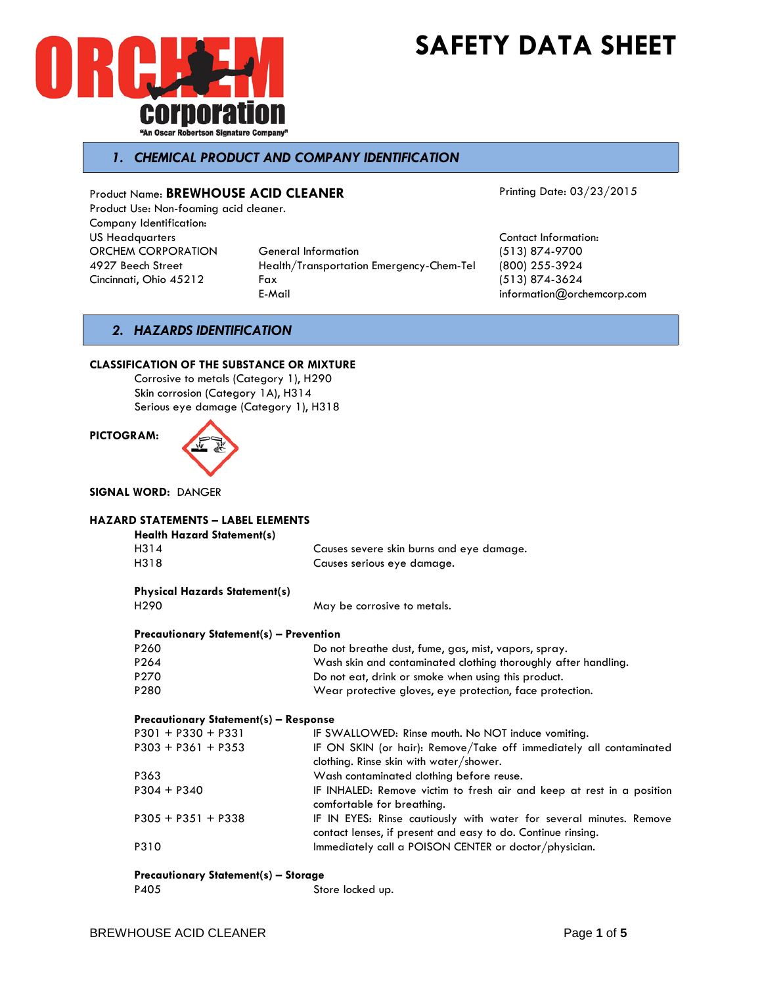



# *1. CHEMICAL PRODUCT AND COMPANY IDENTIFICATION*

Product Name: **BREWHOUSE ACID CLEANER** Product Use: Non-foaming acid cleaner. Company Identification: US Headquarters Contact Information: ORCHEM CORPORATION General Information (513) 874-9700 4927 Beech Street Health/Transportation Emergency-Chem-Tel (800) 255-3924

Cincinnati, Ohio 45212 Fax (513) 874-3624

Printing Date: 03/23/2015

 $information@orchemcorp.com$ 

## *2. HAZARDS IDENTIFICATION*

### **CLASSIFICATION OF THE SUBSTANCE OR MIXTURE**

Corrosive to metals (Category 1), H290 Skin corrosion (Category 1A), H314 Serious eye damage (Category 1), H318



**SIGNAL WORD:** DANGER

| <b>HAZARD STATEMENTS - LABEL ELEMENTS</b>      |                                                                       |
|------------------------------------------------|-----------------------------------------------------------------------|
| <b>Health Hazard Statement(s)</b>              |                                                                       |
| H314                                           | Causes severe skin burns and eye damage.                              |
| H318                                           | Causes serious eye damage.                                            |
| <b>Physical Hazards Statement(s)</b>           |                                                                       |
| H <sub>290</sub>                               | May be corrosive to metals.                                           |
| <b>Precautionary Statement(s) - Prevention</b> |                                                                       |
| P <sub>260</sub>                               | Do not breathe dust, fume, gas, mist, vapors, spray.                  |
| P264                                           | Wash skin and contaminated clothing thoroughly after handling.        |
| P270                                           | Do not eat, drink or smoke when using this product.                   |
| P280                                           | Wear protective gloves, eye protection, face protection.              |
| <b>Precautionary Statement(s) - Response</b>   |                                                                       |
| $P301 + P330 + P331$                           | IF SWALLOWED: Rinse mouth. No NOT induce vomiting.                    |
| $P303 + P361 + P353$                           | IF ON SKIN (or hair): Remove/Take off immediately all contaminated    |
|                                                | clothing. Rinse skin with water/shower.                               |
| P363                                           | Wash contaminated clothing before reuse.                              |
|                                                |                                                                       |
| $P304 + P340$                                  | IF INHALED: Remove victim to fresh air and keep at rest in a position |
|                                                | comfortable for breathing.                                            |
| $P305 + P351 + P338$                           | IF IN EYES: Rinse cautiously with water for several minutes. Remove   |
|                                                | contact lenses, if present and easy to do. Continue rinsing.          |
| P310                                           | Immediately call a POISON CENTER or doctor/physician.                 |

## **Precautionary Statement(s) – Storage**

P405 Store locked up.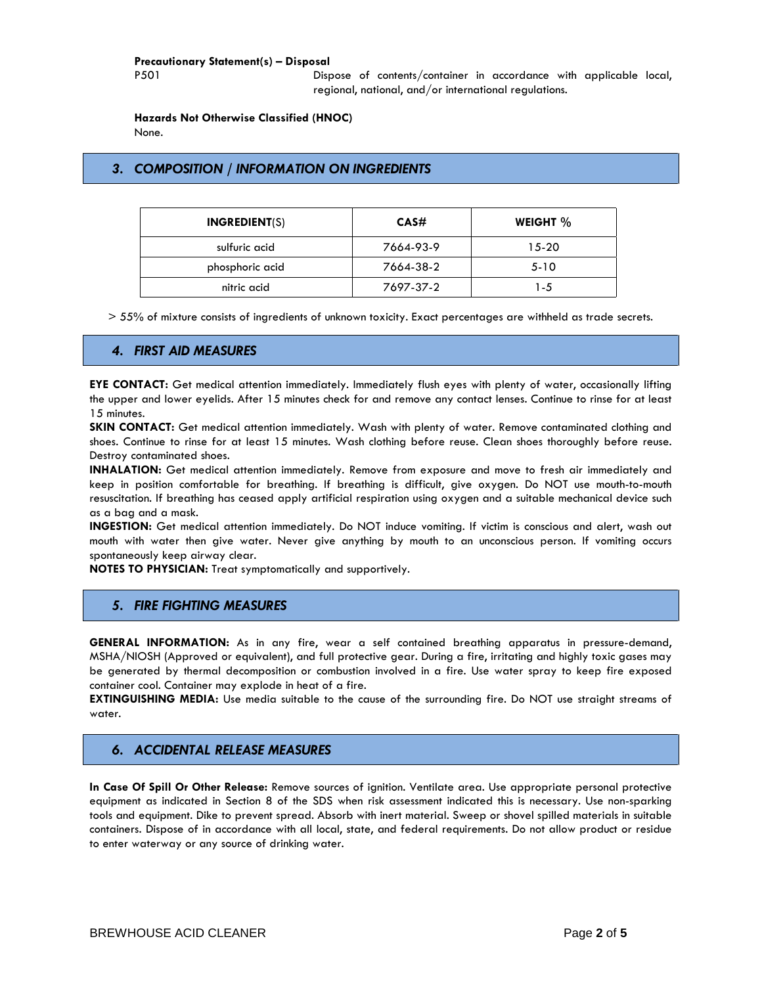### **Precautionary Statement(s) – Disposal**

P501 Dispose of contents/container in accordance with applicable local, regional, national, and/or international regulations.

**Hazards Not Otherwise Classified (HNOC)**

None.

# *3. COMPOSITION / INFORMATION ON INGREDIENTS*

| <b>INGREDIENT(S)</b> | CAS#      | WEIGHT % |
|----------------------|-----------|----------|
| sulfuric acid        | 7664-93-9 | $15-20$  |
| phosphoric acid      | 7664-38-2 | $5 - 10$ |
| nitric acid          | 7697-37-2 | 1-5      |

> 55% of mixture consists of ingredients of unknown toxicity. Exact percentages are withheld as trade secrets.

## *4. FIRST AID MEASURES*

**EYE CONTACT:** Get medical attention immediately. Immediately flush eyes with plenty of water, occasionally lifting the upper and lower eyelids. After 15 minutes check for and remove any contact lenses. Continue to rinse for at least 15 minutes.

**SKIN CONTACT:** Get medical attention immediately. Wash with plenty of water. Remove contaminated clothing and shoes. Continue to rinse for at least 15 minutes. Wash clothing before reuse. Clean shoes thoroughly before reuse. Destroy contaminated shoes.

**INHALATION:** Get medical attention immediately. Remove from exposure and move to fresh air immediately and keep in position comfortable for breathing. If breathing is difficult, give oxygen. Do NOT use mouth-to-mouth resuscitation. If breathing has ceased apply artificial respiration using oxygen and a suitable mechanical device such as a bag and a mask.

**INGESTION:** Get medical attention immediately. Do NOT induce vomiting. If victim is conscious and alert, wash out mouth with water then give water. Never give anything by mouth to an unconscious person. If vomiting occurs spontaneously keep airway clear.

**NOTES TO PHYSICIAN:** Treat symptomatically and supportively.

## *5. FIRE FIGHTING MEASURES*

**GENERAL INFORMATION:** As in any fire, wear a self contained breathing apparatus in pressure-demand, MSHA/NIOSH (Approved or equivalent), and full protective gear. During a fire, irritating and highly toxic gases may be generated by thermal decomposition or combustion involved in a fire. Use water spray to keep fire exposed container cool. Container may explode in heat of a fire.

**EXTINGUISHING MEDIA:** Use media suitable to the cause of the surrounding fire. Do NOT use straight streams of water.

## *6. ACCIDENTAL RELEASE MEASURES*

**In Case Of Spill Or Other Release:** Remove sources of ignition. Ventilate area. Use appropriate personal protective equipment as indicated in Section 8 of the SDS when risk assessment indicated this is necessary. Use non-sparking tools and equipment. Dike to prevent spread. Absorb with inert material. Sweep or shovel spilled materials in suitable containers. Dispose of in accordance with all local, state, and federal requirements. Do not allow product or residue to enter waterway or any source of drinking water.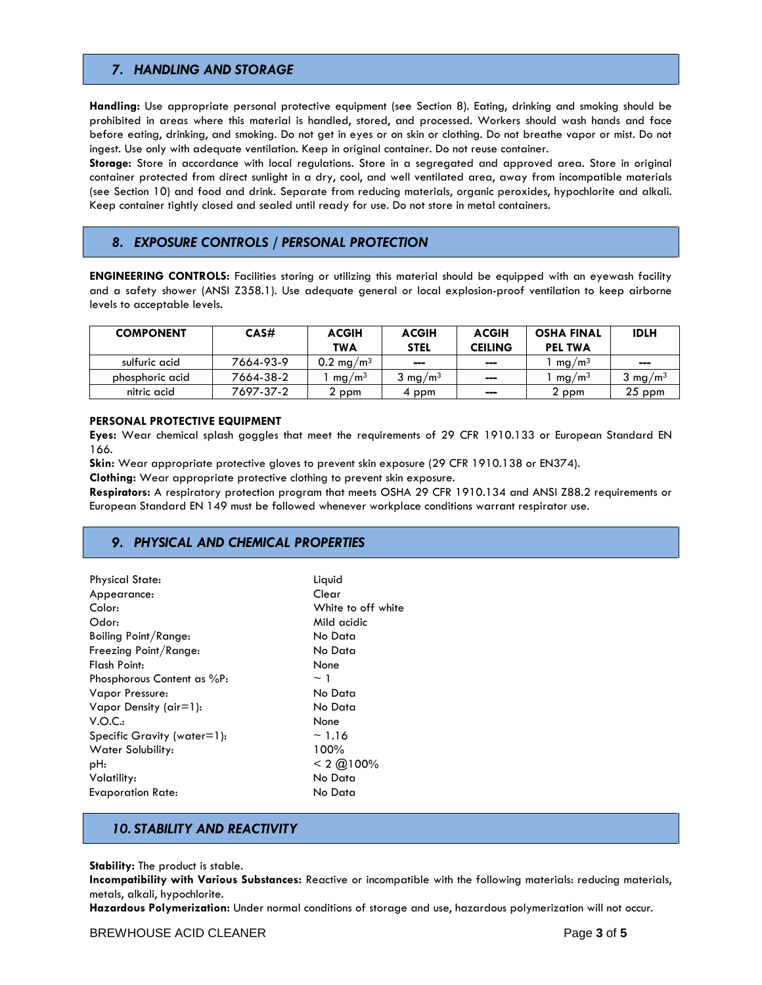## *7. HANDLING AND STORAGE*

**Handling:** Use appropriate personal protective equipment (see Section 8). Eating, drinking and smoking should be prohibited in areas where this material is handled, stored, and processed. Workers should wash hands and face before eating, drinking, and smoking. Do not get in eyes or on skin or clothing. Do not breathe vapor or mist. Do not ingest. Use only with adequate ventilation. Keep in original container. Do not reuse container.

**Storage:** Store in accordance with local regulations. Store in a segregated and approved area. Store in original container protected from direct sunlight in a dry, cool, and well ventilated area, away from incompatible materials (see Section 10) and food and drink. Separate from reducing materials, organic peroxides, hypochlorite and alkali. Keep container tightly closed and sealed until ready for use. Do not store in metal containers.

## *8. EXPOSURE CONTROLS / PERSONAL PROTECTION*

**ENGINEERING CONTROLS:** Facilities storing or utilizing this material should be equipped with an eyewash facility and a safety shower (ANSI Z358.1). Use adequate general or local explosion-proof ventilation to keep airborne levels to acceptable levels.

| <b>COMPONENT</b> | CAS#      | <b>ACGIH</b><br><b>TWA</b> | <b>ACGIH</b><br><b>STEL</b> | <b>ACGIH</b><br><b>CEILING</b> | <b>OSHA FINAL</b><br><b>PEL TWA</b> | <b>IDLH</b>        |
|------------------|-----------|----------------------------|-----------------------------|--------------------------------|-------------------------------------|--------------------|
| sulfuric acid    | 7664-93-9 | 0.2 mg/m <sup>3</sup>      | $\sim$                      | ---                            | mg/m <sup>3</sup>                   | ---                |
| phosphoric acid  | 7664-38-2 | mg/m <sup>3</sup>          | $3 \text{ mg/m}^3$          | ---                            | mg/m <sup>3</sup>                   | $3 \text{ mg/m}^3$ |
| nitric acid      | 7697-37-2 | 2 ppm                      | 4 ppm                       | ---                            | 2 ppm                               | $25$ ppm           |

### **PERSONAL PROTECTIVE EQUIPMENT**

**Eyes:** Wear chemical splash goggles that meet the requirements of 29 CFR 1910.133 or European Standard EN 166.

**Skin:** Wear appropriate protective gloves to prevent skin exposure (29 CFR 1910.138 or EN374).

**Clothing:** Wear appropriate protective clothing to prevent skin exposure.

**Respirators:** A respiratory protection program that meets OSHA 29 CFR 1910.134 and ANSI Z88.2 requirements or European Standard EN 149 must be followed whenever workplace conditions warrant respirator use.

## *9. PHYSICAL AND CHEMICAL PROPERTIES*

| <b>Physical State:</b>      | Liquid                |
|-----------------------------|-----------------------|
| Appearance:                 | Clear                 |
| Color:                      | White to off white    |
| Odor:                       | Mild acidic           |
| Boiling Point/Range:        | No Data               |
| Freezing Point/Range:       | No Data               |
| Flash Point:                | None                  |
| Phosphorous Content as %P:  | $\sim$ 1              |
| Vapor Pressure:             | No Data               |
| Vapor Density ( $air=1$ ):  | No Data               |
| V.O.C.:                     | None                  |
| Specific Gravity (water=1): | ~1.16                 |
| Water Solubility:           | 100%                  |
| pH:                         | $< 2$ ( $\omega$ 100% |
| Volatility:                 | No Data               |
| Evaporation Rate:           | No Data               |
|                             |                       |

## *10. STABILITY AND REACTIVITY*

**Stability:** The product is stable.

**Incompatibility with Various Substances:** Reactive or incompatible with the following materials: reducing materials, metals, alkali, hypochlorite.

**Hazardous Polymerization:** Under normal conditions of storage and use, hazardous polymerization will not occur.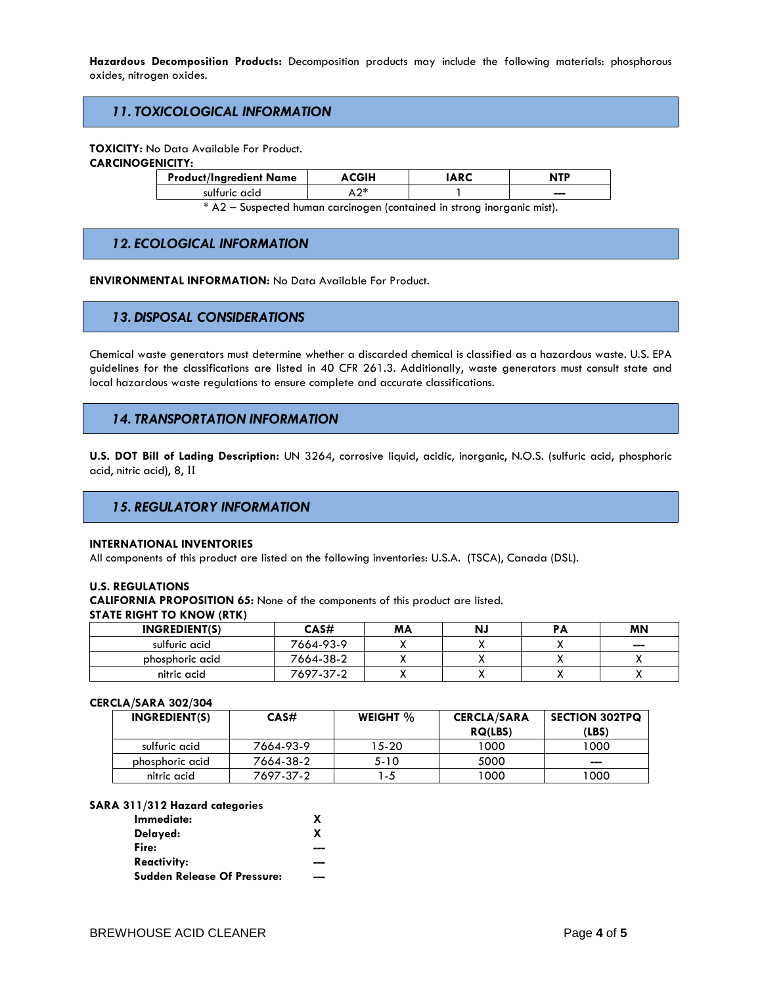**Hazardous Decomposition Products:** Decomposition products may include the following materials: phosphorous oxides, nitrogen oxides.

## *11. TOXICOLOGICAL INFORMATION*

**TOXICITY:** No Data Available For Product.

### **CARCINOGENICITY:**

| <b>Product/Ingredient Name</b> |    | <b>ARC</b> | <b>NTP</b> |
|--------------------------------|----|------------|------------|
| sulfuric acid                  | ገ∗ |            | ---        |
|                                |    |            |            |

\* A2 – Suspected human carcinogen (contained in strong inorganic mist).

## *12. ECOLOGICAL INFORMATION*

**ENVIRONMENTAL INFORMATION:** No Data Available For Product.

## *13. DISPOSAL CONSIDERATIONS*

Chemical waste generators must determine whether a discarded chemical is classified as a hazardous waste. U.S. EPA guidelines for the classifications are listed in 40 CFR 261.3. Additionally, waste generators must consult state and local hazardous waste regulations to ensure complete and accurate classifications.

## *14. TRANSPORTATION INFORMATION*

**U.S. DOT Bill of Lading Description:** UN 3264, corrosive liquid, acidic, inorganic, N.O.S. (sulfuric acid, phosphoric acid, nitric acid), 8, II

## *15. REGULATORY INFORMATION*

#### **INTERNATIONAL INVENTORIES**

All components of this product are listed on the following inventories: U.S.A. (TSCA), Canada (DSL).

#### **U.S. REGULATIONS**

**CALIFORNIA PROPOSITION 65:** None of the components of this product are listed.

#### **STATE RIGHT TO KNOW (RTK)**

| <b>INGREDIENT(S)</b> | CAS#      | MΑ | Ν. | <b>MN</b>                    |
|----------------------|-----------|----|----|------------------------------|
| sulfuric acid        | 7664-93-9 |    |    | $\qquad \qquad \blacksquare$ |
| phosphoric acid      | 7664-38-2 |    |    |                              |
| nitric acid          | 7697-37-2 |    |    |                              |

### **CERCLA/SARA 302/304**

| INGREDIENT(S)   | CAS#      | WEIGHT $%$ | <b>CERCLA/SARA</b> | <b>SECTION 302TPQ</b> |
|-----------------|-----------|------------|--------------------|-----------------------|
|                 |           |            | <b>RQ(LBS)</b>     | (LBS)                 |
| sulfuric acid   | 7664-93-9 | 5--20      | 1000               | 1000                  |
| phosphoric acid | 7664-38-2 | 5-10       | 5000               | ---                   |
| nitric acid     | 7697-37-2 | -5         | 1000               | 1000                  |

### **SARA 311/312 Hazard categories**

| Immediate:                         |   |
|------------------------------------|---|
| Delayed:                           | X |
| Fire:                              |   |
| <b>Reactivity:</b>                 |   |
| <b>Sudden Release Of Pressure:</b> |   |